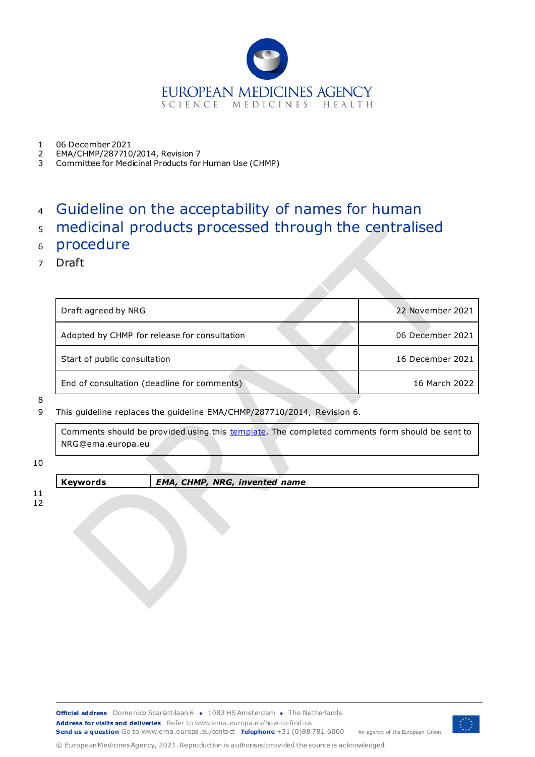

- 1 06 December 2021<br>2 EMA/CHMP/287710
- 2 EMA/CHMP/287710/2014, Revision 7
- 3 Committee for Medicinal Products for Human Use (CHMP)

# <sup>4</sup> Guideline on the acceptability of names for human

- <sup>5</sup> medicinal products processed through the centralised
- <sup>6</sup> procedure
- 7 Draft

| Draft agreed by NRG                          | 22 November 2021 |
|----------------------------------------------|------------------|
| Adopted by CHMP for release for consultation | 06 December 2021 |
| Start of public consultation                 | 16 December 2021 |
| End of consultation (deadline for comments)  | 16 March 2022    |

8

9 This guideline replaces the guideline EMA/CHMP/287710/2014, Revision 6.

Comments should be provided using this [template.](https://www.ema.europa.eu/documents/template-form/template-submission-comments-draft-guideline-acceptability-names-human-medicinal-products-processed_en.docx) The completed comments form should be sent to NRG@ema.europa.eu

10

**Keywords** *EMA, CHMP, NRG, invented name*

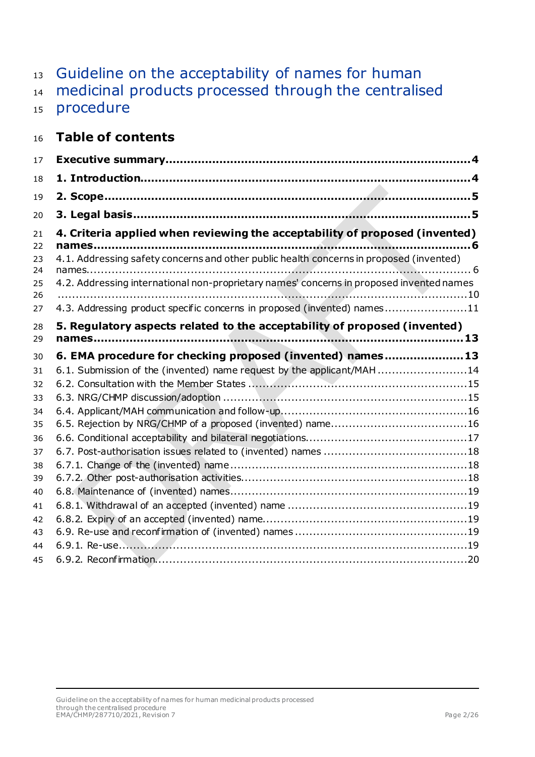# 13 Guideline on the acceptability of names for human

- medicinal products processed through the centralised
- 15 procedure

# **Table of contents**

| 17 |                                                                                          |
|----|------------------------------------------------------------------------------------------|
| 18 |                                                                                          |
| 19 |                                                                                          |
| 20 |                                                                                          |
| 21 | 4. Criteria applied when reviewing the acceptability of proposed (invented)              |
| 22 |                                                                                          |
| 23 | 4.1. Addressing safety concerns and other public health concerns in proposed (invented)  |
| 24 |                                                                                          |
| 25 | 4.2. Addressing international non-proprietary names' concerns in proposed invented names |
| 26 |                                                                                          |
| 27 | 4.3. Addressing product specific concerns in proposed (invented) names11                 |
| 28 | 5. Regulatory aspects related to the acceptability of proposed (invented)                |
| 29 |                                                                                          |
| 30 | 6. EMA procedure for checking proposed (invented) names 13                               |
| 31 | 6.1. Submission of the (invented) name request by the applicant/MAH14                    |
| 32 |                                                                                          |
| 33 |                                                                                          |
| 34 |                                                                                          |
| 35 |                                                                                          |
| 36 |                                                                                          |
| 37 |                                                                                          |
| 38 |                                                                                          |
| 39 |                                                                                          |
| 40 |                                                                                          |
| 41 |                                                                                          |
| 42 |                                                                                          |
| 43 |                                                                                          |
| 44 |                                                                                          |
| 45 |                                                                                          |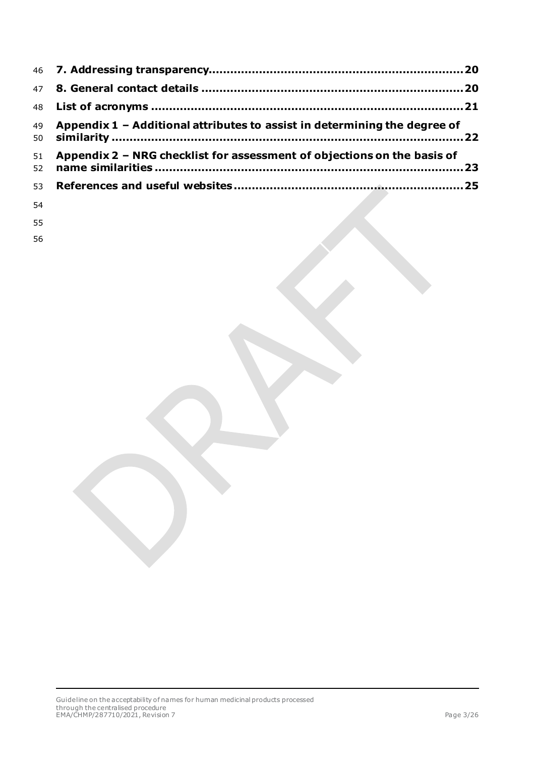|    | 49 Appendix 1 - Additional attributes to assist in determining the degree of |  |
|----|------------------------------------------------------------------------------|--|
| 51 | Appendix 2 - NRG checklist for assessment of objections on the basis of      |  |
|    |                                                                              |  |

- 
- 
-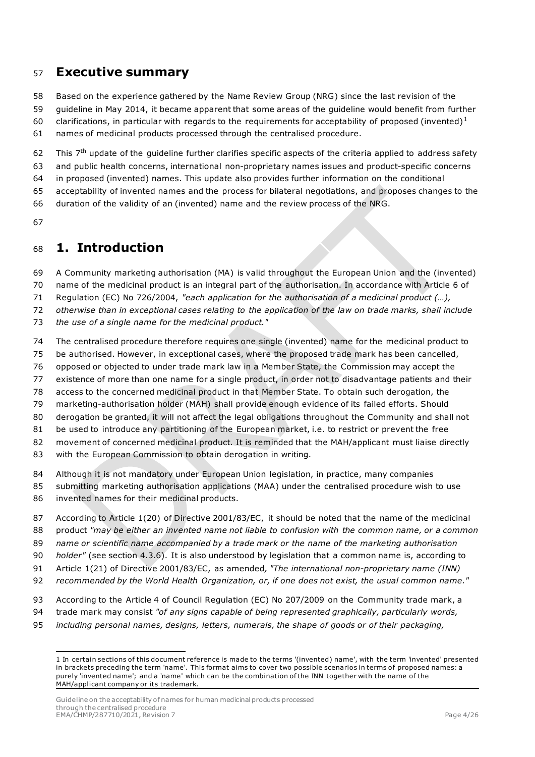## <span id="page-3-0"></span>**Executive summary**

Based on the experience gathered by the Name Review Group (NRG) since the last revision of the

 guideline in May 2014, it became apparent that some areas of the guideline would benefit from further 60 clarifications, in particular with regards to the requirements for acceptability of proposed (invented)<sup>[1](#page-3-2)</sup>

names of medicinal products processed through the centralised procedure.

62 This  $7<sup>th</sup>$  update of the quideline further clarifies specific aspects of the criteria applied to address safety and public health concerns, international non-proprietary names issues and product-specific concerns in proposed (invented) names. This update also provides further information on the conditional acceptability of invented names and the process for bilateral negotiations, and proposes changes to the

duration of the validity of an (invented) name and the review process of the NRG.

# <span id="page-3-1"></span>**1. Introduction**

A Community marketing authorisation (MA) is valid throughout the European Union and the (invented)

name of the medicinal product is an integral part of the authorisation. In accordance with Article 6 of

Regulation (EC) No 726/2004, *"each application for the authorisation of a medicinal product (…),* 

*otherwise than in exceptional cases relating to the application of the law on trade marks, shall include* 

*the use of a single name for the medicinal product."*

The centralised procedure therefore requires one single (invented) name for the medicinal product to

be authorised. However, in exceptional cases, where the proposed trade mark has been cancelled,

opposed or objected to under trade mark law in a Member State, the Commission may accept the

existence of more than one name for a single product, in order not to disadvantage patients and their

access to the concerned medicinal product in that Member State. To obtain such derogation, the

marketing-authorisation holder (MAH) shall provide enough evidence of its failed efforts. Should

derogation be granted, it will not affect the legal obligations throughout the Community and shall not

81 be used to introduce any partitioning of the European market, i.e. to restrict or prevent the free

movement of concerned medicinal product. It is reminded that the MAH/applicant must liaise directly

with the European Commission to obtain derogation in writing.

84 Although it is not mandatory under European Union legislation, in practice, many companies

 submitting marketing authorisation applications (MAA) under the centralised procedure wish to use invented names for their medicinal products.

According to Article 1(20) of Directive 2001/83/EC, it should be noted that the name of the medicinal

product *"may be either an invented name not liable to confusion with the common name, or a common* 

*name or scientific name accompanied by a trade mark or the name of the marketing authorisation* 

*holder"* (see section 4.3.6). It is also understood by legislation that a common name is, according to

Article 1(21) of Directive 2001/83/EC, as amended*, "The international non-proprietary name (INN)* 

*recommended by the World Health Organization, or, if one does not exist, the usual common name."*

- According to the Article 4 of Council Regulation (EC) No 207/2009 on the Community trade mark, a
- trade mark may consist *"of any signs capable of being represented graphically, particularly words,*
- <span id="page-3-2"></span>*including personal names, designs, letters, numerals, the shape of goods or of their packaging,*

Guideline on the acceptability of names for human medicinal products processed through the centralised procedure EMA/CHMP/287710/2021, Revision 7 Page 4/26

 In certain sections of this document reference is made to the terms '(invented) name', with the term 'invented' presented in brackets preceding the term 'name'. This format aims to cover two possible scenarios in terms of proposed names: a purely 'invented name'; and a 'name' which can be the combination of the INN together with the name of the MAH/applicant company or its trademark.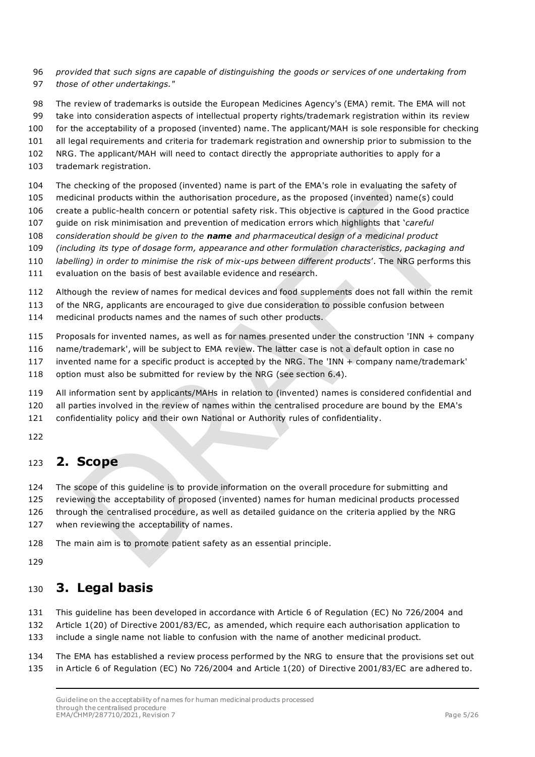- *provided that such signs are capable of distinguishing the goods or services of one undertaking from those of other undertakings."*
- The review of trademarks is outside the European Medicines Agency's (EMA) remit. The EMA will not
- take into consideration aspects of intellectual property rights/trademark registration within its review
- for the acceptability of a proposed (invented) name. The applicant/MAH is sole responsible for checking
- all legal requirements and criteria for trademark registration and ownership prior to submission to the
- NRG. The applicant/MAH will need to contact directly the appropriate authorities to apply for a
- trademark registration.
- The checking of the proposed (invented) name is part of the EMA's role in evaluating the safety of
- medicinal products within the authorisation procedure, as the proposed (invented) name(s) could
- create a public-health concern or potential safety risk. This objective is captured in the Good practice
- guide on risk minimisation and prevention of medication errors which highlights that '*careful*
- *consideration should be given to the name and pharmaceutical design of a medicinal product*
- *(including its type of dosage form, appearance and other formulation characteristics, packaging and*
- *labelling) in order to minimise the risk of mix-ups between different products*'. The NRG performs this
- evaluation on the basis of best available evidence and research.
- Although the review of names for medical devices and food supplements does not fall within the remit
- of the NRG, applicants are encouraged to give due consideration to possible confusion between
- medicinal products names and the names of such other products.
- Proposals for invented names, as well as for names presented under the construction 'INN + company
- name/trademark', will be subject to EMA review. The latter case is not a default option in case no
- invented name for a specific product is accepted by the NRG. The 'INN + company name/trademark'
- option must also be submitted for review by the NRG (see section 6.4).
- All information sent by applicants/MAHs in relation to (invented) names is considered confidential and
- all parties involved in the review of names within the centralised procedure are bound by the EMA's
- confidentiality policy and their own National or Authority rules of confidentiality.
- 

## <span id="page-4-0"></span>**2. Scope**

- The scope of this guideline is to provide information on the overall procedure for submitting and
- reviewing the acceptability of proposed (invented) names for human medicinal products processed
- through the centralised procedure, as well as detailed guidance on the criteria applied by the NRG
- when reviewing the acceptability of names.
- The main aim is to promote patient safety as an essential principle.
- 

## <span id="page-4-1"></span>**3. Legal basis**

- This guideline has been developed in accordance with Article 6 of Regulation (EC) No 726/2004 and
- Article 1(20) of Directive 2001/83/EC, as amended, which require each authorisation application to
- include a single name not liable to confusion with the name of another medicinal product.
- The EMA has established a review process performed by the NRG to ensure that the provisions set out in Article 6 of Regulation (EC) No 726/2004 and Article 1(20) of Directive 2001/83/EC are adhered to.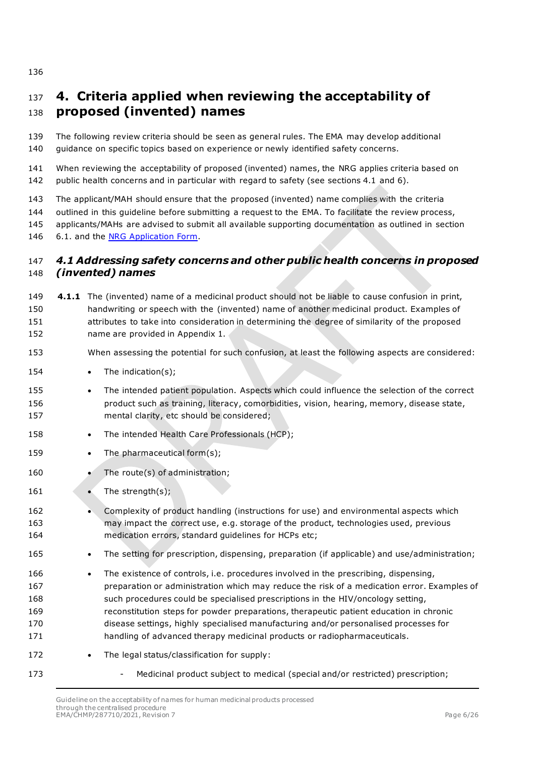# <span id="page-5-0"></span> **4. Criteria applied when reviewing the acceptability of proposed (invented) names**

 The following review criteria should be seen as general rules. The EMA may develop additional guidance on specific topics based on experience or newly identified safety concerns.

 When reviewing the acceptability of proposed (invented) names, the NRG applies criteria based on public health concerns and in particular with regard to safety (see sections 4.1 and 6).

The applicant/MAH should ensure that the proposed (invented) name complies with the criteria

outlined in this guideline before submitting a request to the EMA. To facilitate the review process,

applicants/MAHs are advised to submit all available supporting documentation as outlined in section

6.1. and the [NRG Application Form.](https://www.ema.europa.eu/en/documents/template-form/name-review-group-form_en.pdf)

### <span id="page-5-1"></span> *4.1 Addressing safety concerns and other public health concerns in proposed (invented) names*

| 149 | 4.1.1 The (invented) name of a medicinal product should not be liable to cause confusion in print, |
|-----|----------------------------------------------------------------------------------------------------|
| 150 | handwriting or speech with the (invented) name of another medicinal product. Examples of           |
| 151 | attributes to take into consideration in determining the degree of similarity of the proposed      |
| 152 | name are provided in Appendix 1.                                                                   |

- When assessing the potential for such confusion, at least the following aspects are considered:
- 154 The indication(s);
- The intended patient population. Aspects which could influence the selection of the correct product such as training, literacy, comorbidities, vision, hearing, memory, disease state, mental clarity, etc should be considered;
- 158 The intended Health Care Professionals (HCP);
- 159 The pharmaceutical form(s);
- 160 The route(s) of administration;
- 161 The strength(s);
- Complexity of product handling (instructions for use) and environmental aspects which may impact the correct use, e.g. storage of the product, technologies used, previous medication errors, standard guidelines for HCPs etc;
- 165 The setting for prescription, dispensing, preparation (if applicable) and use/administration;
- 166 The existence of controls, i.e. procedures involved in the prescribing, dispensing, preparation or administration which may reduce the risk of a medication error. Examples of such procedures could be specialised prescriptions in the HIV/oncology setting, reconstitution steps for powder preparations, therapeutic patient education in chronic disease settings, highly specialised manufacturing and/or personalised processes for handling of advanced therapy medicinal products or radiopharmaceuticals.
- 172 The legal status/classification for supply:
- 
- 173 Medicinal product subject to medical (special and/or restricted) prescription;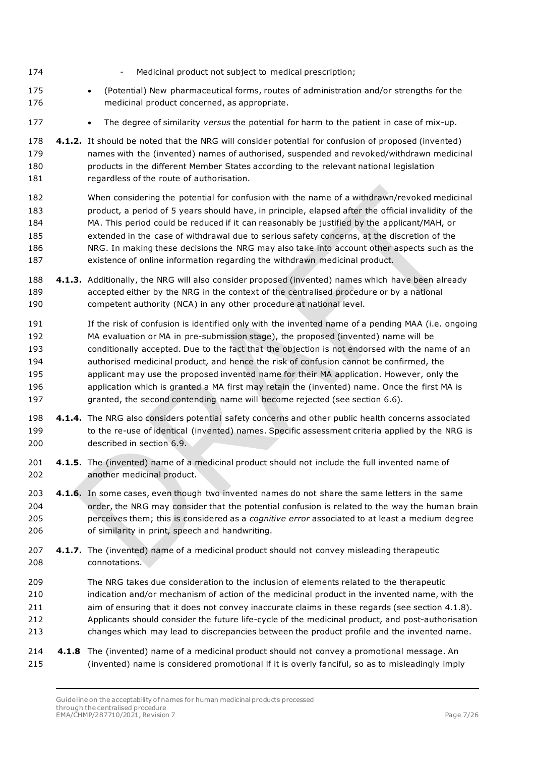- 174 Medicinal product not subject to medical prescription;
- (Potential) New pharmaceutical forms, routes of administration and/or strengths for the medicinal product concerned, as appropriate.
- The degree of similarity *versus* the potential for harm to the patient in case of mix-up.
- **4.1.2.** It should be noted that the NRG will consider potential for confusion of proposed (invented) names with the (invented) names of authorised, suspended and revoked/withdrawn medicinal products in the different Member States according to the relevant national legislation 181 regardless of the route of authorisation.
- When considering the potential for confusion with the name of a withdrawn/revoked medicinal product, a period of 5 years should have, in principle, elapsed after the official invalidity of the MA. This period could be reduced if it can reasonably be justified by the applicant/MAH, or extended in the case of withdrawal due to serious safety concerns, at the discretion of the NRG. In making these decisions the NRG may also take into account other aspects such as the existence of online information regarding the withdrawn medicinal product.
- **4.1.3.** Additionally, the NRG will also consider proposed (invented) names which have been already accepted either by the NRG in the context of the centralised procedure or by a national competent authority (NCA) in any other procedure at national level.
- If the risk of confusion is identified only with the invented name of a pending MAA (i.e. ongoing MA evaluation or MA in pre-submission stage), the proposed (invented) name will be 193 conditionally accepted. Due to the fact that the objection is not endorsed with the name of an authorised medicinal product, and hence the risk of confusion cannot be confirmed, the applicant may use the proposed invented name for their MA application. However, only the application which is granted a MA first may retain the (invented) name. Once the first MA is granted, the second contending name will become rejected (see section 6.6).
- **4.1.4.** The NRG also considers potential safety concerns and other public health concerns associated 199 to the re-use of identical (invented) names. Specific assessment criteria applied by the NRG is described in section 6.9.
- **4.1.5.** The (invented) name of a medicinal product should not include the full invented name of another medicinal product.
- **4.1.6.** In some cases, even though two invented names do not share the same letters in the same order, the NRG may consider that the potential confusion is related to the way the human brain perceives them; this is considered as a *cognitive error* associated to at least a medium degree of similarity in print, speech and handwriting.
- **4.1.7.** The (invented) name of a medicinal product should not convey misleading therapeutic connotations.
- The NRG takes due consideration to the inclusion of elements related to the therapeutic indication and/or mechanism of action of the medicinal product in the invented name, with the aim of ensuring that it does not convey inaccurate claims in these regards (see section 4.1.8). Applicants should consider the future life-cycle of the medicinal product, and post-authorisation changes which may lead to discrepancies between the product profile and the invented name.
- **4.1.8** The (invented) name of a medicinal product should not convey a promotional message. An (invented) name is considered promotional if it is overly fanciful, so as to misleadingly imply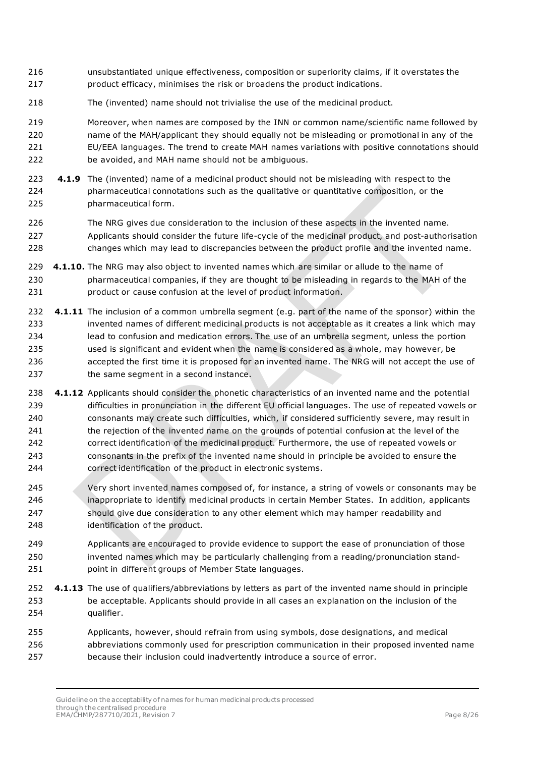- unsubstantiated unique effectiveness, composition or superiority claims, if it overstates the product efficacy, minimises the risk or broadens the product indications.
- The (invented) name should not trivialise the use of the medicinal product.

 Moreover, when names are composed by the INN or common name/scientific name followed by name of the MAH/applicant they should equally not be misleading or promotional in any of the EU/EEA languages. The trend to create MAH names variations with positive connotations should be avoided, and MAH name should not be ambiguous.

- **4.1.9** The (invented) name of a medicinal product should not be misleading with respect to the pharmaceutical connotations such as the qualitative or quantitative composition, or the pharmaceutical form.
- The NRG gives due consideration to the inclusion of these aspects in the invented name. Applicants should consider the future life-cycle of the medicinal product, and post-authorisation changes which may lead to discrepancies between the product profile and the invented name.
- **4.1.10.** The NRG may also object to invented names which are similar or allude to the name of pharmaceutical companies, if they are thought to be misleading in regards to the MAH of the product or cause confusion at the level of product information.
- **4.1.11** The inclusion of a common umbrella segment (e.g. part of the name of the sponsor) within the invented names of different medicinal products is not acceptable as it creates a link which may lead to confusion and medication errors. The use of an umbrella segment, unless the portion used is significant and evident when the name is considered as a whole, may however, be accepted the first time it is proposed for an invented name. The NRG will not accept the use of 237 the same segment in a second instance.
- **4.1.12** Applicants should consider the phonetic characteristics of an invented name and the potential difficulties in pronunciation in the different EU official languages. The use of repeated vowels or consonants may create such difficulties, which, if considered sufficiently severe, may result in the rejection of the invented name on the grounds of potential confusion at the level of the correct identification of the medicinal product. Furthermore, the use of repeated vowels or consonants in the prefix of the invented name should in principle be avoided to ensure the correct identification of the product in electronic systems.
- Very short invented names composed of, for instance, a string of vowels or consonants may be inappropriate to identify medicinal products in certain Member States. In addition, applicants should give due consideration to any other element which may hamper readability and identification of the product.
- Applicants are encouraged to provide evidence to support the ease of pronunciation of those invented names which may be particularly challenging from a reading/pronunciation stand-point in different groups of Member State languages.
- **4.1.13** The use of qualifiers/abbreviations by letters as part of the invented name should in principle be acceptable. Applicants should provide in all cases an explanation on the inclusion of the qualifier.
- Applicants, however, should refrain from using symbols, dose designations, and medical abbreviations commonly used for prescription communication in their proposed invented name because their inclusion could inadvertently introduce a source of error.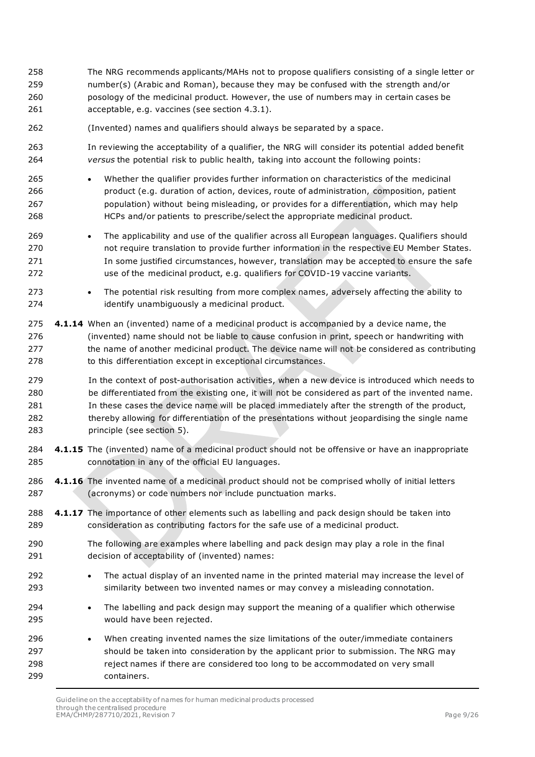- The NRG recommends applicants/MAHs not to propose qualifiers consisting of a single letter or number(s) (Arabic and Roman), because they may be confused with the strength and/or posology of the medicinal product. However, the use of numbers may in certain cases be acceptable, e.g. vaccines (see section 4.3.1).
- (Invented) names and qualifiers should always be separated by a space.
- In reviewing the acceptability of a qualifier, the NRG will consider its potential added benefit *versus* the potential risk to public health, taking into account the following points:
- Whether the qualifier provides further information on characteristics of the medicinal product (e.g. duration of action, devices, route of administration, composition, patient population) without being misleading, or provides for a differentiation, which may help HCPs and/or patients to prescribe/select the appropriate medicinal product.
- 269 The applicability and use of the qualifier across all European languages. Qualifiers should not require translation to provide further information in the respective EU Member States. 271 In some justified circumstances, however, translation may be accepted to ensure the safe use of the medicinal product, e.g. qualifiers for COVID-19 vaccine variants.
- 273 The potential risk resulting from more complex names, adversely affecting the ability to identify unambiguously a medicinal product.
- **4.1.14** When an (invented) name of a medicinal product is accompanied by a device name, the (invented) name should not be liable to cause confusion in print, speech or handwriting with the name of another medicinal product. The device name will not be considered as contributing 278 to this differentiation except in exceptional circumstances.
- In the context of post-authorisation activities, when a new device is introduced which needs to be differentiated from the existing one, it will not be considered as part of the invented name. In these cases the device name will be placed immediately after the strength of the product, thereby allowing for differentiation of the presentations without jeopardising the single name principle (see section 5).
- **4.1.15** The (invented) name of a medicinal product should not be offensive or have an inappropriate connotation in any of the official EU languages.
- **4.1.16** The invented name of a medicinal product should not be comprised wholly of initial letters (acronyms) or code numbers nor include punctuation marks.
- **4.1.17** The importance of other elements such as labelling and pack design should be taken into consideration as contributing factors for the safe use of a medicinal product.
- The following are examples where labelling and pack design may play a role in the final decision of acceptability of (invented) names:
- The actual display of an invented name in the printed material may increase the level of similarity between two invented names or may convey a misleading connotation.
- The labelling and pack design may support the meaning of a qualifier which otherwise would have been rejected.
- When creating invented names the size limitations of the outer/immediate containers should be taken into consideration by the applicant prior to submission. The NRG may reject names if there are considered too long to be accommodated on very small containers.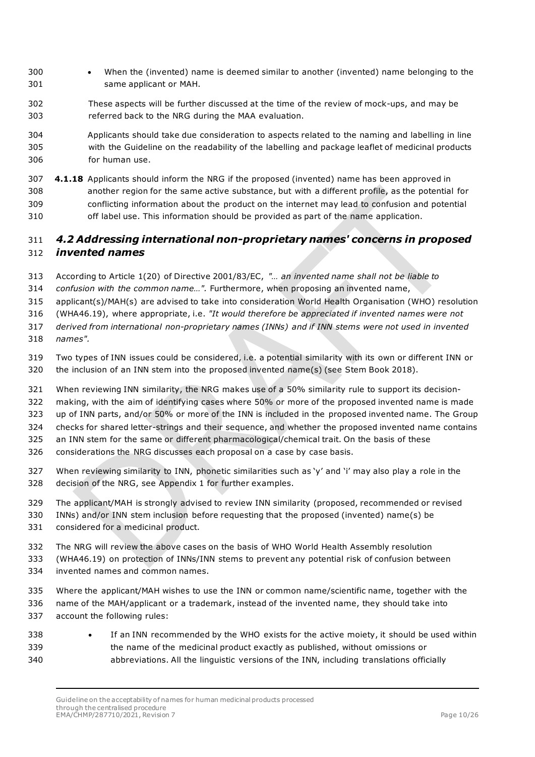- When the (invented) name is deemed similar to another (invented) name belonging to the same applicant or MAH.
- These aspects will be further discussed at the time of the review of mock-ups, and may be referred back to the NRG during the MAA evaluation.
- Applicants should take due consideration to aspects related to the naming and labelling in line with the Guideline on the readability of the labelling and package leaflet of medicinal products for human use.
- **4.1.18** Applicants should inform the NRG if the proposed (invented) name has been approved in another region for the same active substance, but with a different profile, as the potential for conflicting information about the product on the internet may lead to confusion and potential off label use. This information should be provided as part of the name application.

### <span id="page-9-0"></span> *4.2 Addressing international non-proprietary names' concerns in proposed invented names*

- According to Article 1(20) of Directive 2001/83/EC, *"… an invented name shall not be liable to*
- *confusion with the common name…".* Furthermore, when proposing an invented name,
- applicant(s)/MAH(s) are advised to take into consideration World Health Organisation (WHO) resolution
- (WHA46.19), where appropriate, i.e. *"It would therefore be appreciated if invented names were not*
- *derived from international non-proprietary names (INNs) and if INN stems were not used in invented names".*
- Two types of INN issues could be considered, i.e. a potential similarity with its own or different INN or the inclusion of an INN stem into the proposed invented name(s) (see Stem Book 2018).
- When reviewing INN similarity, the NRG makes use of a 50% similarity rule to support its decision-
- making, with the aim of identifying cases where 50% or more of the proposed invented name is made
- up of INN parts, and/or 50% or more of the INN is included in the proposed invented name. The Group
- checks for shared letter-strings and their sequence, and whether the proposed invented name contains
- an INN stem for the same or different pharmacological/chemical trait. On the basis of these
- considerations the NRG discusses each proposal on a case by case basis.
- When reviewing similarity to INN, phonetic similarities such as 'y' and 'i' may also play a role in the decision of the NRG, see Appendix 1 for further examples.
- The applicant/MAH is strongly advised to review INN similarity (proposed, recommended or revised
- INNs) and/or INN stem inclusion before requesting that the proposed (invented) name(s) be considered for a medicinal product.
- The NRG will review the above cases on the basis of WHO World Health Assembly resolution
- (WHA46.19) on protection of INNs/INN stems to prevent any potential risk of confusion between invented names and common names.
- Where the applicant/MAH wishes to use the INN or common name/scientific name, together with the name of the MAH/applicant or a trademark, instead of the invented name, they should take into account the following rules:
- 338 If an INN recommended by the WHO exists for the active moiety, it should be used within the name of the medicinal product exactly as published, without omissions or abbreviations. All the linguistic versions of the INN, including translations officially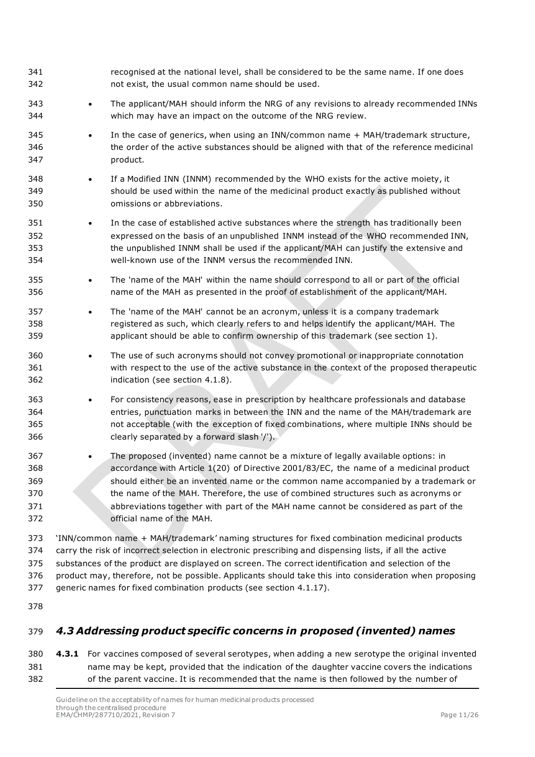| 341<br>342                             |           | recognised at the national level, shall be considered to be the same name. If one does<br>not exist, the usual common name should be used.                                                                                                                                                                                                                                                                                                                                                    |
|----------------------------------------|-----------|-----------------------------------------------------------------------------------------------------------------------------------------------------------------------------------------------------------------------------------------------------------------------------------------------------------------------------------------------------------------------------------------------------------------------------------------------------------------------------------------------|
| 343<br>344                             | ٠         | The applicant/MAH should inform the NRG of any revisions to already recommended INNs<br>which may have an impact on the outcome of the NRG review.                                                                                                                                                                                                                                                                                                                                            |
| 345<br>346<br>347                      |           | In the case of generics, when using an INN/common name + MAH/trademark structure,<br>the order of the active substances should be aligned with that of the reference medicinal<br>product.                                                                                                                                                                                                                                                                                                    |
| 348<br>349<br>350                      | ٠         | If a Modified INN (INNM) recommended by the WHO exists for the active moiety, it<br>should be used within the name of the medicinal product exactly as published without<br>omissions or abbreviations.                                                                                                                                                                                                                                                                                       |
| 351<br>352<br>353<br>354               | $\bullet$ | In the case of established active substances where the strength has traditionally been<br>expressed on the basis of an unpublished INNM instead of the WHO recommended INN,<br>the unpublished INNM shall be used if the applicant/MAH can justify the extensive and<br>well-known use of the INNM versus the recommended INN.                                                                                                                                                                |
| 355<br>356                             | $\bullet$ | The 'name of the MAH' within the name should correspond to all or part of the official<br>name of the MAH as presented in the proof of establishment of the applicant/MAH.                                                                                                                                                                                                                                                                                                                    |
| 357<br>358<br>359                      | ٠         | The 'name of the MAH' cannot be an acronym, unless it is a company trademark<br>registered as such, which clearly refers to and helps identify the applicant/MAH. The<br>applicant should be able to confirm ownership of this trademark (see section 1).                                                                                                                                                                                                                                     |
| 360<br>361<br>362                      | $\bullet$ | The use of such acronyms should not convey promotional or inappropriate connotation<br>with respect to the use of the active substance in the context of the proposed therapeutic<br>indication (see section 4.1.8).                                                                                                                                                                                                                                                                          |
| 363<br>364<br>365<br>366               | ٠         | For consistency reasons, ease in prescription by healthcare professionals and database<br>entries, punctuation marks in between the INN and the name of the MAH/trademark are<br>not acceptable (with the exception of fixed combinations, where multiple INNs should be<br>clearly separated by a forward slash '/').                                                                                                                                                                        |
| 367<br>368<br>369<br>370<br>371<br>372 |           | The proposed (invented) name cannot be a mixture of legally available options: in<br>accordance with Article 1(20) of Directive 2001/83/EC, the name of a medicinal product<br>should either be an invented name or the common name accompanied by a trademark or<br>the name of the MAH. Therefore, the use of combined structures such as acronyms or<br>abbreviations together with part of the MAH name cannot be considered as part of the<br>official name of the MAH.                  |
| 373<br>374<br>375<br>376<br>377        |           | 'INN/common name + MAH/trademark' naming structures for fixed combination medicinal products<br>carry the risk of incorrect selection in electronic prescribing and dispensing lists, if all the active<br>substances of the product are displayed on screen. The correct identification and selection of the<br>product may, therefore, not be possible. Applicants should take this into consideration when proposing<br>generic names for fixed combination products (see section 4.1.17). |
| 378                                    |           |                                                                                                                                                                                                                                                                                                                                                                                                                                                                                               |

## <span id="page-10-0"></span>*4.3 Addressing product specific concerns in proposed (invented) names*

 **4.3.1** For vaccines composed of several serotypes, when adding a new serotype the original invented name may be kept, provided that the indication of the daughter vaccine covers the indications of the parent vaccine. It is recommended that the name is then followed by the number of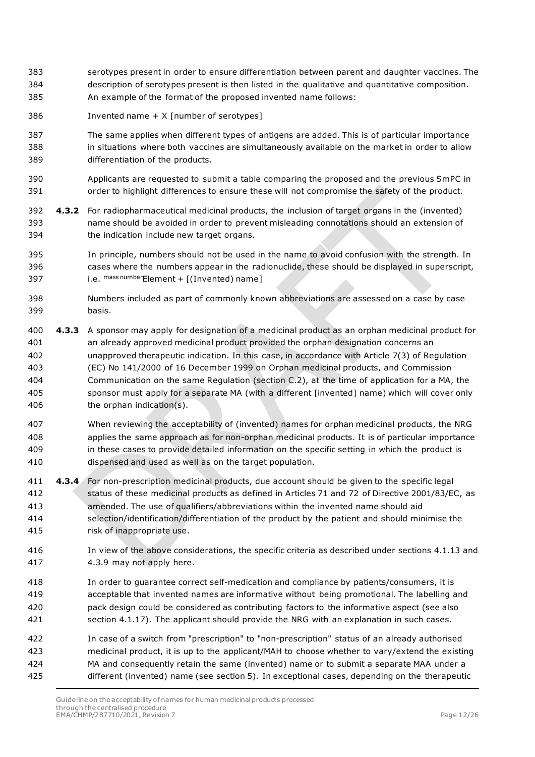- serotypes present in order to ensure differentiation between parent and daughter vaccines. The description of serotypes present is then listed in the qualitative and quantitative composition. An example of the format of the proposed invented name follows:
- Invented name + X [number of serotypes]
- The same applies when different types of antigens are added. This is of particular importance in situations where both vaccines are simultaneously available on the market in order to allow differentiation of the products.
- Applicants are requested to submit a table comparing the proposed and the previous SmPC in order to highlight differences to ensure these will not compromise the safety of the product.
- **4.3.2** For radiopharmaceutical medicinal products, the inclusion of target organs in the (invented) name should be avoided in order to prevent misleading connotations should an extension of the indication include new target organs.
- In principle, numbers should not be used in the name to avoid confusion with the strength. In cases where the numbers appear in the radionuclide, these should be displayed in superscript, 397 i.e.  $^{mass\,number}$ Element + [(Invented) name]
- Numbers included as part of commonly known abbreviations are assessed on a case by case basis.
- **4.3.3** A sponsor may apply for designation of a medicinal product as an orphan medicinal product for an already approved medicinal product provided the orphan designation concerns an unapproved therapeutic indication. In this case, in accordance with Article 7(3) of Regulation (EC) No 141/2000 of 16 December 1999 on Orphan medicinal products, and Commission Communication on the same Regulation (section C.2), at the time of application for a MA, the sponsor must apply for a separate MA (with a different [invented] name) which will cover only 406 the orphan indication(s).
- When reviewing the acceptability of (invented) names for orphan medicinal products, the NRG applies the same approach as for non-orphan medicinal products. It is of particular importance in these cases to provide detailed information on the specific setting in which the product is dispensed and used as well as on the target population.
- **4.3.4** For non-prescription medicinal products, due account should be given to the specific legal status of these medicinal products as defined in Articles 71 and 72 of Directive 2001/83/EC, as amended. The use of qualifiers/abbreviations within the invented name should aid selection/identification/differentiation of the product by the patient and should minimise the risk of inappropriate use.
- In view of the above considerations, the specific criteria as described under sections 4.1.13 and 4.3.9 may not apply here.
- In order to guarantee correct self-medication and compliance by patients/consumers, it is acceptable that invented names are informative without being promotional. The labelling and pack design could be considered as contributing factors to the informative aspect (see also section 4.1.17). The applicant should provide the NRG with an explanation in such cases.
- In case of a switch from "prescription" to "non-prescription" status of an already authorised medicinal product, it is up to the applicant/MAH to choose whether to vary/extend the existing MA and consequently retain the same (invented) name or to submit a separate MAA under a different (invented) name (see section 5). In exceptional cases, depending on the therapeutic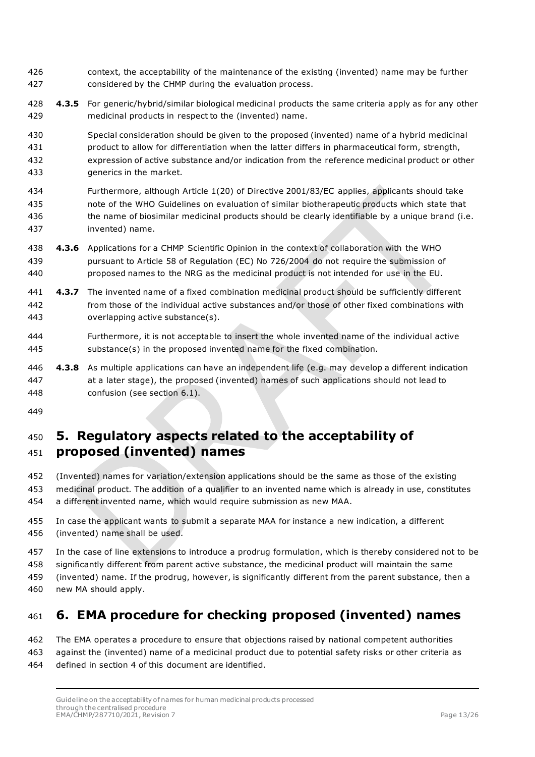- context, the acceptability of the maintenance of the existing (invented) name may be further considered by the CHMP during the evaluation process.
- **4.3.5** For generic/hybrid/similar biological medicinal products the same criteria apply as for any other medicinal products in respect to the (invented) name.

 Special consideration should be given to the proposed (invented) name of a hybrid medicinal product to allow for differentiation when the latter differs in pharmaceutical form, strength, expression of active substance and/or indication from the reference medicinal product or other generics in the market.

- Furthermore, although Article 1(20) of Directive 2001/83/EC applies, applicants should take note of the WHO Guidelines on evaluation of similar biotherapeutic products which state that 436 the name of biosimilar medicinal products should be clearly identifiable by a unique brand (i.e. invented) name.
- **4.3.6** Applications for a CHMP Scientific Opinion in the context of collaboration with the WHO pursuant to Article 58 of Regulation (EC) No 726/2004 do not require the submission of proposed names to the NRG as the medicinal product is not intended for use in the EU.
- **4.3.7** The invented name of a fixed combination medicinal product should be sufficiently different from those of the individual active substances and/or those of other fixed combinations with overlapping active substance(s).
- Furthermore, it is not acceptable to insert the whole invented name of the individual active substance(s) in the proposed invented name for the fixed combination.
- **4.3.8** As multiple applications can have an independent life (e.g. may develop a different indication at a later stage), the proposed (invented) names of such applications should not lead to confusion (see section 6.1).
- 

# <span id="page-12-0"></span> **5. Regulatory aspects related to the acceptability of proposed (invented) names**

- (Invented) names for variation/extension applications should be the same as those of the existing medicinal product. The addition of a qualifier to an invented name which is already in use, constitutes a different invented name, which would require submission as new MAA.
- In case the applicant wants to submit a separate MAA for instance a new indication, a different (invented) name shall be used.
- In the case of line extensions to introduce a prodrug formulation, which is thereby considered not to be

significantly different from parent active substance, the medicinal product will maintain the same

- (invented) name. If the prodrug, however, is significantly different from the parent substance, then a
- new MA should apply.

# <span id="page-12-1"></span>**6. EMA procedure for checking proposed (invented) names**

 The EMA operates a procedure to ensure that objections raised by national competent authorities against the (invented) name of a medicinal product due to potential safety risks or other criteria as defined in section 4 of this document are identified.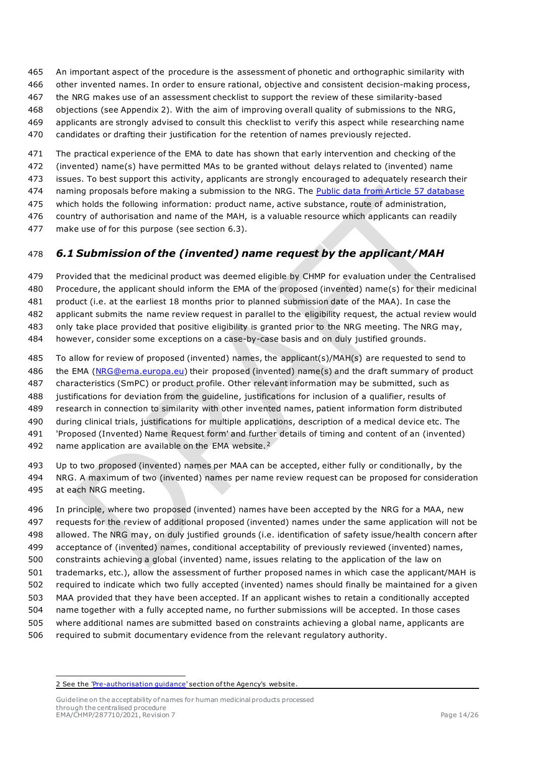<span id="page-13-0"></span> An important aspect of the procedure is the assessment of phonetic and orthographic similarity with other invented names. In order to ensure rational, objective and consistent decision-making process, the NRG makes use of an assessment checklist to support the review of these similarity-based objections (see Appendix 2). With the aim of improving overall quality of submissions to the NRG, applicants are strongly advised to consult this checklist to verify this aspect while researching name

candidates or drafting their justification for the retention of names previously rejected.

The practical experience of the EMA to date has shown that early intervention and checking of the

(invented) name(s) have permitted MAs to be granted without delays related to (invented) name

issues. To best support this activity, applicants are strongly encouraged to adequately research their

474 naming proposals before making a submission to the NRG. The [Public data from Article 57 database](https://www.ema.europa.eu/en/human-regulatory/post-authorisation/data-medicines-iso-idmp-standards/public-data-article-57-database)

which holds the following information: product name, active substance, route of administration,

country of authorisation and name of the MAH, is a valuable resource which applicants can readily

make use of for this purpose (see section 6.3).

## *6.1 Submission of the (invented) name request by the applicant/MAH*

 Provided that the medicinal product was deemed eligible by CHMP for evaluation under the Centralised Procedure, the applicant should inform the EMA of the proposed (invented) name(s) for their medicinal

product (i.e. at the earliest 18 months prior to planned submission date of the MAA). In case the

applicant submits the name review request in parallel to the eligibility request, the actual review would

only take place provided that positive eligibility is granted prior to the NRG meeting. The NRG may,

however, consider some exceptions on a case-by-case basis and on duly justified grounds.

 To allow for review of proposed (invented) names, the applicant(s)/MAH(s) are requested to send to the EMA [\(NRG@ema.europa.eu\)](mailto:NRG@ema.europa.eu) their proposed (invented) name(s) and the draft summary of product characteristics (SmPC) or product profile. Other relevant information may be submitted, such as justifications for deviation from the guideline, justifications for inclusion of a qualifier, results of research in connection to similarity with other invented names, patient information form distributed during clinical trials, justifications for multiple applications, description of a medical device etc. The 'Proposed (Invented) Name Request form' and further details of timing and content of an (invented) [2](#page-13-1) name application are available on the EMA website.<sup>2</sup>

 Up to two proposed (invented) names per MAA can be accepted, either fully or conditionally, by the NRG. A maximum of two (invented) names per name review request can be proposed for consideration at each NRG meeting.

 In principle, where two proposed (invented) names have been accepted by the NRG for a MAA, new requests for the review of additional proposed (invented) names under the same application will not be allowed. The NRG may, on duly justified grounds (i.e. identification of safety issue/health concern after acceptance of (invented) names, conditional acceptability of previously reviewed (invented) names, constraints achieving a global (invented) name, issues relating to the application of the law on trademarks, etc.), allow the assessment of further proposed names in which case the applicant/MAH is required to indicate which two fully accepted (invented) names should finally be maintained for a given MAA provided that they have been accepted. If an applicant wishes to retain a conditionally accepted name together with a fully accepted name, no further submissions will be accepted. In those cases where additional names are submitted based on constraints achieving a global name, applicants are required to submit documentary evidence from the relevant regulatory authority.

<span id="page-13-1"></span>

<sup>2</sup> See the 'Pre-authorisation quidance' section of the Agency's website.

Guideline on the acceptability of names for human medicinal products processed through the centralised procedure EMA/CHMP/287710/2021, Revision 7 Page 14/26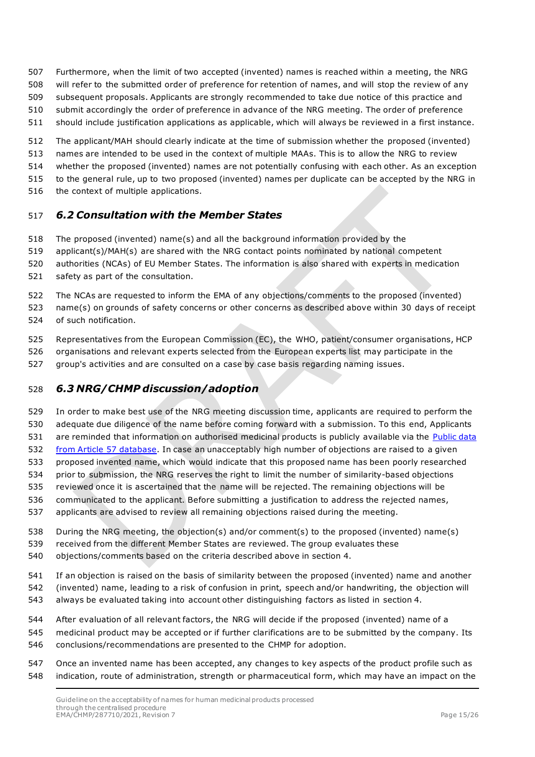- Furthermore, when the limit of two accepted (invented) names is reached within a meeting, the NRG
- will refer to the submitted order of preference for retention of names, and will stop the review of any
- subsequent proposals. Applicants are strongly recommended to take due notice of this practice and
- submit accordingly the order of preference in advance of the NRG meeting. The order of preference
- should include justification applications as applicable, which will always be reviewed in a first instance.
- The applicant/MAH should clearly indicate at the time of submission whether the proposed (invented)
- names are intended to be used in the context of multiple MAAs. This is to allow the NRG to review
- whether the proposed (invented) names are not potentially confusing with each other. As an exception
- to the general rule, up to two proposed (invented) names per duplicate can be accepted by the NRG in
- 516 the context of multiple applications.

### <span id="page-14-0"></span>*6.2 Consultation with the Member States*

- The proposed (invented) name(s) and all the background information provided by the
- applicant(s)/MAH(s) are shared with the NRG contact points nominated by national competent
- authorities (NCAs) of EU Member States. The information is also shared with experts in medication
- safety as part of the consultation.
- The NCAs are requested to inform the EMA of any objections/comments to the proposed (invented)
- name(s) on grounds of safety concerns or other concerns as described above within 30 days of receipt of such notification.
- Representatives from the European Commission (EC), the WHO, patient/consumer organisations, HCP
- organisations and relevant experts selected from the European experts list may participate in the
- group's activities and are consulted on a case by case basis regarding naming issues.

### <span id="page-14-1"></span>*6.3 NRG/CHMP discussion/adoption*

- In order to make best use of the NRG meeting discussion time, applicants are required to perform the adequate due diligence of the name before coming forward with a submission. To this end, Applicants 531 are reminded that information on authorised medicinal products is publicly available via the Public data
- [from Article 57 database.](https://www.ema.europa.eu/en/human-regulatory/post-authorisation/data-medicines-iso-idmp-standards/public-data-article-57-database) In case an unacceptably high number of objections are raised to a given proposed invented name, which would indicate that this proposed name has been poorly researched
- prior to submission, the NRG reserves the right to limit the number of similarity-based objections
- reviewed once it is ascertained that the name will be rejected. The remaining objections will be
- communicated to the applicant. Before submitting a justification to address the rejected names,
- applicants are advised to review all remaining objections raised during the meeting.
- During the NRG meeting, the objection(s) and/or comment(s) to the proposed (invented) name(s)
- received from the different Member States are reviewed. The group evaluates these
- objections/comments based on the criteria described above in section 4.
- If an objection is raised on the basis of similarity between the proposed (invented) name and another
- (invented) name, leading to a risk of confusion in print, speech and/or handwriting, the objection will
- always be evaluated taking into account other distinguishing factors as listed in section 4.
- After evaluation of all relevant factors, the NRG will decide if the proposed (invented) name of a
- medicinal product may be accepted or if further clarifications are to be submitted by the company. Its conclusions/recommendations are presented to the CHMP for adoption.
- Once an invented name has been accepted, any changes to key aspects of the product profile such as indication, route of administration, strength or pharmaceutical form, which may have an impact on the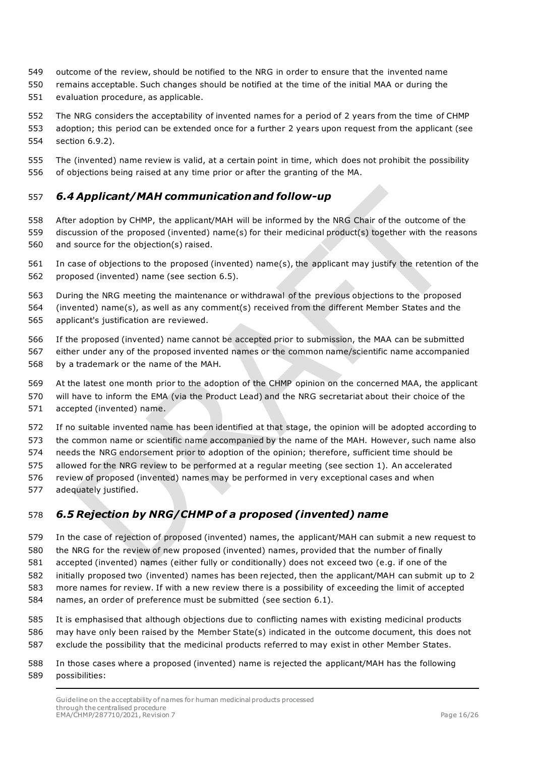- outcome of the review, should be notified to the NRG in order to ensure that the invented name
- remains acceptable. Such changes should be notified at the time of the initial MAA or during the evaluation procedure, as applicable.
- The NRG considers the acceptability of invented names for a period of 2 years from the time of CHMP adoption; this period can be extended once for a further 2 years upon request from the applicant (see section 6.9.2).
- The (invented) name review is valid, at a certain point in time, which does not prohibit the possibility of objections being raised at any time prior or after the granting of the MA.

### <span id="page-15-0"></span>*6.4 Applicant/MAH communication and follow-up*

- After adoption by CHMP, the applicant/MAH will be informed by the NRG Chair of the outcome of the discussion of the proposed (invented) name(s) for their medicinal product(s) together with the reasons and source for the objection(s) raised.
- In case of objections to the proposed (invented) name(s), the applicant may justify the retention of the proposed (invented) name (see section 6.5).
- During the NRG meeting the maintenance or withdrawal of the previous objections to the proposed (invented) name(s), as well as any comment(s) received from the different Member States and the applicant's justification are reviewed.
- If the proposed (invented) name cannot be accepted prior to submission, the MAA can be submitted either under any of the proposed invented names or the common name/scientific name accompanied by a trademark or the name of the MAH.
- At the latest one month prior to the adoption of the CHMP opinion on the concerned MAA, the applicant
- will have to inform the EMA (via the Product Lead) and the NRG secretariat about their choice of the accepted (invented) name.
- If no suitable invented name has been identified at that stage, the opinion will be adopted according to
- the common name or scientific name accompanied by the name of the MAH. However, such name also
- needs the NRG endorsement prior to adoption of the opinion; therefore, sufficient time should be
- allowed for the NRG review to be performed at a regular meeting (see section 1). An accelerated
- review of proposed (invented) names may be performed in very exceptional cases and when
- adequately justified.

## <span id="page-15-1"></span>*6.5 Rejection by NRG/CHMP of a proposed (invented) name*

- In the case of rejection of proposed (invented) names, the applicant/MAH can submit a new request to
- the NRG for the review of new proposed (invented) names, provided that the number of finally
- accepted (invented) names (either fully or conditionally) does not exceed two (e.g. if one of the initially proposed two (invented) names has been rejected, then the applicant/MAH can submit up to 2
- more names for review. If with a new review there is a possibility of exceeding the limit of accepted
- names, an order of preference must be submitted (see section 6.1).
- It is emphasised that although objections due to conflicting names with existing medicinal products may have only been raised by the Member State(s) indicated in the outcome document, this does not exclude the possibility that the medicinal products referred to may exist in other Member States.
- In those cases where a proposed (invented) name is rejected the applicant/MAH has the following possibilities: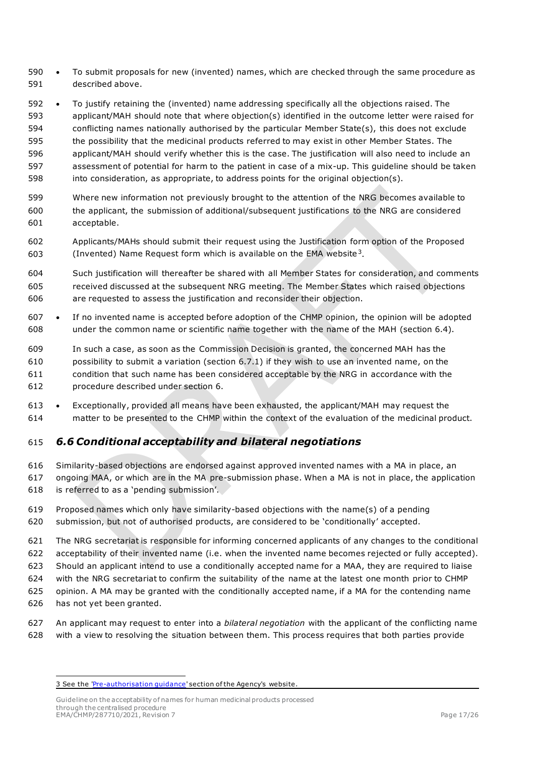- To submit proposals for new (invented) names, which are checked through the same procedure as described above.
- To justify retaining the (invented) name addressing specifically all the objections raised. The applicant/MAH should note that where objection(s) identified in the outcome letter were raised for conflicting names nationally authorised by the particular Member State(s), this does not exclude the possibility that the medicinal products referred to may exist in other Member States. The applicant/MAH should verify whether this is the case. The justification will also need to include an assessment of potential for harm to the patient in case of a mix-up. This guideline should be taken into consideration, as appropriate, to address points for the original objection(s).
- Where new information not previously brought to the attention of the NRG becomes available to the applicant, the submission of additional/subsequent justifications to the NRG are considered acceptable.
- Applicants/MAHs should submit their request using the Justification form option of the Proposed [3](#page-16-1) (Invented) Name Request form which is available on the EMA website<sup>3</sup>.
- Such justification will thereafter be shared with all Member States for consideration, and comments received discussed at the subsequent NRG meeting. The Member States which raised objections are requested to assess the justification and reconsider their objection.
- If no invented name is accepted before adoption of the CHMP opinion, the opinion will be adopted under the common name or scientific name together with the name of the MAH (section 6.4).
- In such a case, as soon as the Commission Decision is granted, the concerned MAH has the possibility to submit a variation (section 6.7.1) if they wish to use an invented name, on the condition that such name has been considered acceptable by the NRG in accordance with the procedure described under section 6.
- Exceptionally, provided all means have been exhausted, the applicant/MAH may request the matter to be presented to the CHMP within the context of the evaluation of the medicinal product.

## <span id="page-16-0"></span>*6.6 Conditional acceptability and bilateral negotiations*

- Similarity-based objections are endorsed against approved invented names with a MA in place, an ongoing MAA, or which are in the MA pre-submission phase. When a MA is not in place, the application is referred to as a 'pending submission'.
- Proposed names which only have similarity-based objections with the name(s) of a pending submission, but not of authorised products, are considered to be 'conditionally' accepted.
- The NRG secretariat is responsible for informing concerned applicants of any changes to the conditional
- acceptability of their invented name (i.e. when the invented name becomes rejected or fully accepted).
- Should an applicant intend to use a conditionally accepted name for a MAA, they are required to liaise
- with the NRG secretariat to confirm the suitability of the name at the latest one month prior to CHMP
- opinion. A MA may be granted with the conditionally accepted name, if a MA for the contending name
- has not yet been granted.
- An applicant may request to enter into a *bilateral negotiation* with the applicant of the conflicting name with a view to resolving the situation between them. This process requires that both parties provide

<span id="page-16-1"></span><sup>3</sup> See the 'Pre-authorisation quidance' section of the Agency's website.

Guideline on the acceptability of names for human medicinal products processed through the centralised procedure EMA/CHMP/287710/2021, Revision 7 Page 17/26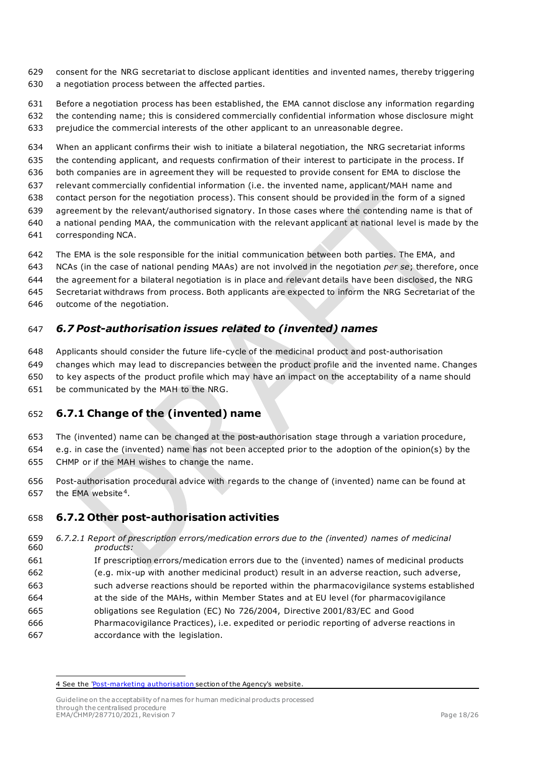- consent for the NRG secretariat to disclose applicant identities and invented names, thereby triggering a negotiation process between the affected parties.
- Before a negotiation process has been established, the EMA cannot disclose any information regarding the contending name; this is considered commercially confidential information whose disclosure might prejudice the commercial interests of the other applicant to an unreasonable degree.

 When an applicant confirms their wish to initiate a bilateral negotiation, the NRG secretariat informs the contending applicant, and requests confirmation of their interest to participate in the process. If both companies are in agreement they will be requested to provide consent for EMA to disclose the relevant commercially confidential information (i.e. the invented name, applicant/MAH name and contact person for the negotiation process). This consent should be provided in the form of a signed agreement by the relevant/authorised signatory. In those cases where the contending name is that of a national pending MAA, the communication with the relevant applicant at national level is made by the

- corresponding NCA.
- The EMA is the sole responsible for the initial communication between both parties. The EMA, and
- NCAs (in the case of national pending MAAs) are not involved in the negotiation *per se*; therefore, once
- the agreement for a bilateral negotiation is in place and relevant details have been disclosed, the NRG
- Secretariat withdraws from process. Both applicants are expected to inform the NRG Secretariat of the
- outcome of the negotiation.

#### <span id="page-17-0"></span>*6.7 Post-authorisation issues related to (invented) names*

- Applicants should consider the future life-cycle of the medicinal product and post-authorisation
- changes which may lead to discrepancies between the product profile and the invented name. Changes
- to key aspects of the product profile which may have an impact on the acceptability of a name should
- be communicated by the MAH to the NRG.

### <span id="page-17-1"></span>**6.7.1 Change of the (invented) name**

- The (invented) name can be changed at the post-authorisation stage through a variation procedure,
- e.g. in case the (invented) name has not been accepted prior to the adoption of the opinion(s) by the CHMP or if the MAH wishes to change the name.
- Post-authorisation procedural advice with regards to the change of (invented) name can be found at 657 the EMA website<sup>[4](#page-17-3)</sup>.

### <span id="page-17-2"></span>**6.7.2 Other post-authorisation activities**

- *6.7.2.1 Report of prescription errors/medication errors due to the (invented) names of medicinal products:*
- If prescription errors/medication errors due to the (invented) names of medicinal products
- (e.g. mix-up with another medicinal product) result in an adverse reaction, such adverse,
- such adverse reactions should be reported within the pharmacovigilance systems established
- at the side of the MAHs, within Member States and at EU level (for pharmacovigilance
- obligations see Regulation (EC) No 726/2004, Directive 2001/83/EC and Good
- Pharmacovigilance Practices), i.e. expedited or periodic reporting of adverse reactions in accordance with the legislation.

<span id="page-17-3"></span><sup>4</sup> See the ['Post-marketing authorisation](http://www.ema.europa.eu/ema/index.jsp?curl=pages/regulation/document_listing/document_listing_000090.jsp&mid=WC0b01ac0580023398) section of the Agency's website.

Guideline on the acceptability of names for human medicinal products processed through the centralised procedure EMA/CHMP/287710/2021, Revision 7 Page 18/26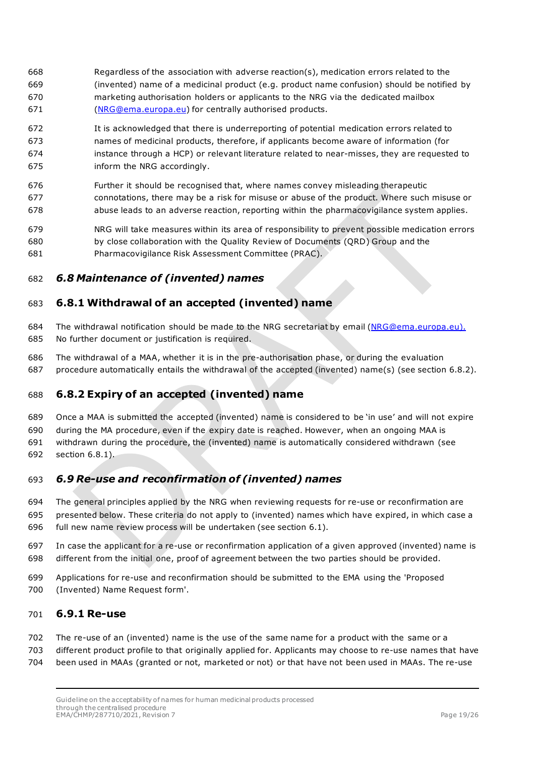- Regardless of the association with adverse reaction(s), medication errors related to the (invented) name of a medicinal product (e.g. product name confusion) should be notified by marketing authorisation holders or applicants to the NRG via the dedicated mailbox [\(NRG@ema.europa.eu\)](mailto:NRG@ema.europa.eu) for centrally authorised products.
- It is acknowledged that there is underreporting of potential medication errors related to names of medicinal products, therefore, if applicants become aware of information (for instance through a HCP) or relevant literature related to near-misses, they are requested to inform the NRG accordingly.
- Further it should be recognised that, where names convey misleading therapeutic connotations, there may be a risk for misuse or abuse of the product. Where such misuse or abuse leads to an adverse reaction, reporting within the pharmacovigilance system applies.
- NRG will take measures within its area of responsibility to prevent possible medication errors by close collaboration with the Quality Review of Documents (QRD) Group and the Pharmacovigilance Risk Assessment Committee (PRAC).

### <span id="page-18-0"></span>*6.8 Maintenance of (invented) names*

#### <span id="page-18-1"></span>**6.8.1 Withdrawal of an accepted (invented) name**

- 684 The withdrawal notification should be made to the NRG secretariat by email [\(NRG@ema.europa.eu\)](mailto:NRG@ema.europa.eu). No further document or justification is required.
- The withdrawal of a MAA, whether it is in the pre-authorisation phase, or during the evaluation procedure automatically entails the withdrawal of the accepted (invented) name(s) (see section 6.8.2).

### <span id="page-18-2"></span>**6.8.2 Expiry of an accepted (invented) name**

- Once a MAA is submitted the accepted (invented) name is considered to be 'in use' and will not expire
- during the MA procedure, even if the expiry date is reached. However, when an ongoing MAA is
- withdrawn during the procedure, the (invented) name is automatically considered withdrawn (see
- section 6.8.1).

## <span id="page-18-3"></span>*6.9 Re-use and reconfirmation of (invented) names*

- The general principles applied by the NRG when reviewing requests for re-use or reconfirmation are presented below. These criteria do not apply to (invented) names which have expired, in which case a full new name review process will be undertaken (see section 6.1).
- In case the applicant for a re-use or reconfirmation application of a given approved (invented) name is different from the initial one, proof of agreement between the two parties should be provided.
- Applications for re-use and reconfirmation should be submitted to the EMA using the 'Proposed
- (Invented) Name Request form'.

#### <span id="page-18-4"></span>**6.9.1 Re-use**

- The re-use of an (invented) name is the use of the same name for a product with the same or a
- different product profile to that originally applied for. Applicants may choose to re-use names that have
- been used in MAAs (granted or not, marketed or not) or that have not been used in MAAs. The re-use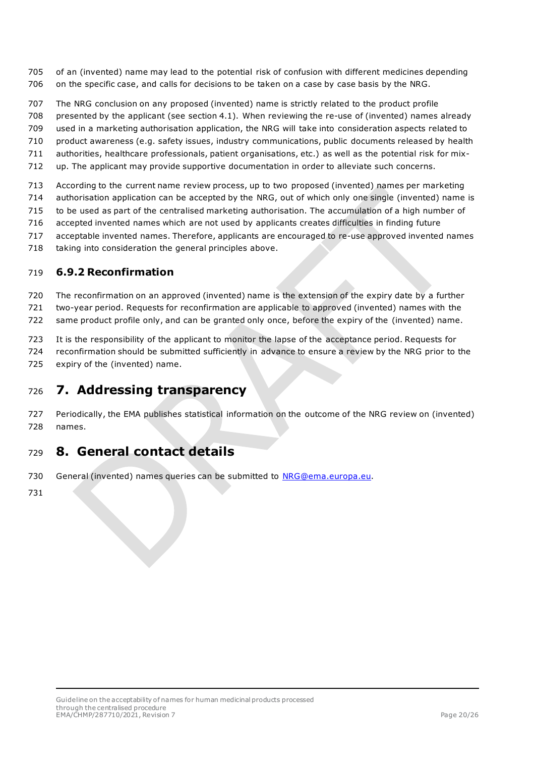- of an (invented) name may lead to the potential risk of confusion with different medicines depending on the specific case, and calls for decisions to be taken on a case by case basis by the NRG.
- The NRG conclusion on any proposed (invented) name is strictly related to the product profile
- presented by the applicant (see section 4.1). When reviewing the re-use of (invented) names already
- used in a marketing authorisation application, the NRG will take into consideration aspects related to
- product awareness (e.g. safety issues, industry communications, public documents released by health
- authorities, healthcare professionals, patient organisations, etc.) as well as the potential risk for mix-
- up. The applicant may provide supportive documentation in order to alleviate such concerns.
- According to the current name review process, up to two proposed (invented) names per marketing
- authorisation application can be accepted by the NRG, out of which only one single (invented) name is
- to be used as part of the centralised marketing authorisation. The accumulation of a high number of
- accepted invented names which are not used by applicants creates difficulties in finding future
- acceptable invented names. Therefore, applicants are encouraged to re-use approved invented names
- taking into consideration the general principles above.

### <span id="page-19-0"></span>**6.9.2 Reconfirmation**

The reconfirmation on an approved (invented) name is the extension of the expiry date by a further

two-year period. Requests for reconfirmation are applicable to approved (invented) names with the

same product profile only, and can be granted only once, before the expiry of the (invented) name.

It is the responsibility of the applicant to monitor the lapse of the acceptance period. Requests for

- reconfirmation should be submitted sufficiently in advance to ensure a review by the NRG prior to the
- expiry of the (invented) name.

## <span id="page-19-1"></span>**7. Addressing transparency**

 Periodically, the EMA publishes statistical information on the outcome of the NRG review on (invented) names.

## <span id="page-19-2"></span>**8. General contact details**

730 General (invented) names queries can be submitted to **NRG@ema.europa.eu.**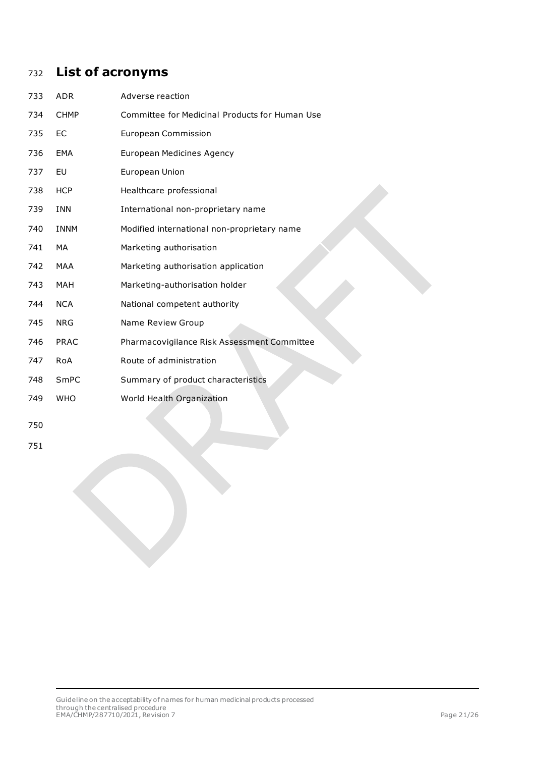# <span id="page-20-0"></span>**List of acronyms**

| 733 | <b>ADR</b>  | Adverse reaction                               |
|-----|-------------|------------------------------------------------|
| 734 | <b>CHMP</b> | Committee for Medicinal Products for Human Use |
| 735 | <b>EC</b>   | <b>European Commission</b>                     |
| 736 | <b>EMA</b>  | <b>European Medicines Agency</b>               |
| 737 | EU          | European Union                                 |
| 738 | <b>HCP</b>  | Healthcare professional                        |
| 739 | <b>INN</b>  | International non-proprietary name             |
| 740 | <b>INNM</b> | Modified international non-proprietary name    |
| 741 | <b>MA</b>   | Marketing authorisation                        |
| 742 | MAA         | Marketing authorisation application            |
| 743 | <b>MAH</b>  | Marketing-authorisation holder                 |
| 744 | <b>NCA</b>  | National competent authority                   |
| 745 | <b>NRG</b>  | Name Review Group                              |
| 746 | <b>PRAC</b> | Pharmacovigilance Risk Assessment Committee    |
| 747 | RoA         | Route of administration                        |
| 748 | SmPC        | Summary of product characteristics             |
| 749 | <b>WHO</b>  | World Health Organization                      |
| 750 |             |                                                |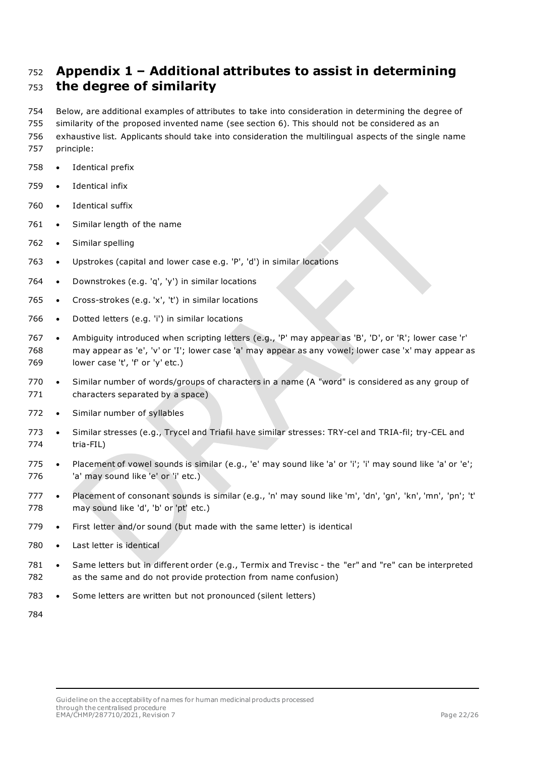# <span id="page-21-0"></span> **Appendix 1 – Additional attributes to assist in determining the degree of similarity**

 Below, are additional examples of attributes to take into consideration in determining the degree of similarity of the proposed invented name (see section 6). This should not be considered as an exhaustive list. Applicants should take into consideration the multilingual aspects of the single name

- principle:
- Identical prefix
- Identical infix
- Identical suffix
- 761 Similar length of the name
- Similar spelling
- Upstrokes (capital and lower case e.g. 'P', 'd') in similar locations
- Downstrokes (e.g. 'q', 'y') in similar locations
- 765 Cross-strokes (e.g. 'x', 't') in similar locations
- 766 Dotted letters (e.g. 'i') in similar locations
- Ambiguity introduced when scripting letters (e.g., 'P' may appear as 'B', 'D', or 'R'; lower case 'r' may appear as 'e', 'v' or 'I'; lower case 'a' may appear as any vowel; lower case 'x' may appear as 769 lower case 't', 'f' or 'y' etc.)
- Similar number of words/groups of characters in a name (A "word" is considered as any group of characters separated by a space)
- 772 Similar number of syllables
- Similar stresses (e.g., Trycel and Triafil have similar stresses: TRY-cel and TRIA-fil; try-CEL and tria-FIL)
- Placement of vowel sounds is similar (e.g., 'e' may sound like 'a' or 'i'; 'i' may sound like 'a' or 'e'; 'a' may sound like 'e' or 'i' etc.)
- Placement of consonant sounds is similar (e.g., 'n' may sound like 'm', 'dn', 'gn', 'kn', 'mn', 'pn'; 't' 778 may sound like 'd', 'b' or 'pt' etc.)
- First letter and/or sound (but made with the same letter) is identical
- Last letter is identical
- Same letters but in different order (e.g., Termix and Trevisc the "er" and "re" can be interpreted as the same and do not provide protection from name confusion)
- Some letters are written but not pronounced (silent letters)
-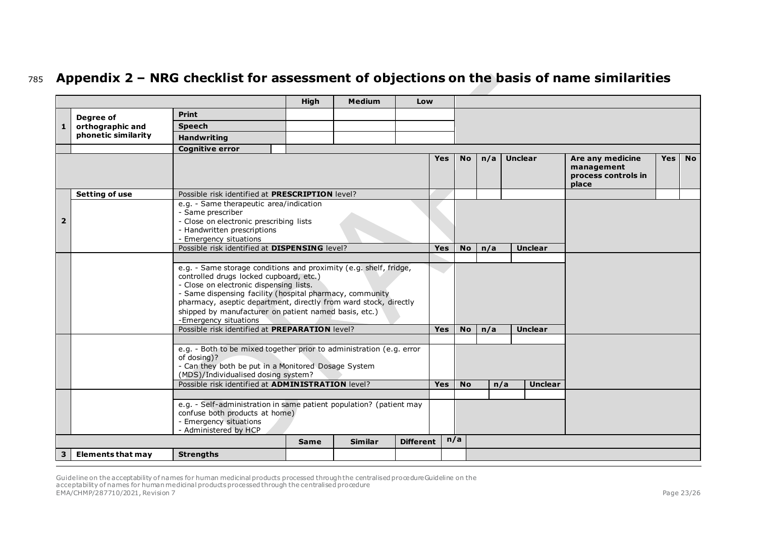# <sup>785</sup> **Appendix 2 – NRG checklist for assessment of objections on the basis of name similarities**

|              |                          |                                                                                                                                                                                                                                                                                                                                                                                                                             | <b>High</b>                                                                                                                                 | <b>Medium</b>  | Low              |                |           |                       |                |                                                                |            |           |
|--------------|--------------------------|-----------------------------------------------------------------------------------------------------------------------------------------------------------------------------------------------------------------------------------------------------------------------------------------------------------------------------------------------------------------------------------------------------------------------------|---------------------------------------------------------------------------------------------------------------------------------------------|----------------|------------------|----------------|-----------|-----------------------|----------------|----------------------------------------------------------------|------------|-----------|
|              | Degree of                | <b>Print</b>                                                                                                                                                                                                                                                                                                                                                                                                                |                                                                                                                                             |                |                  |                |           |                       |                |                                                                |            |           |
| $\mathbf{1}$ | orthographic and         | <b>Speech</b>                                                                                                                                                                                                                                                                                                                                                                                                               |                                                                                                                                             |                |                  |                |           |                       |                |                                                                |            |           |
|              | phonetic similarity      | <b>Handwriting</b>                                                                                                                                                                                                                                                                                                                                                                                                          |                                                                                                                                             |                |                  |                |           |                       |                |                                                                |            |           |
|              |                          | <b>Cognitive error</b>                                                                                                                                                                                                                                                                                                                                                                                                      |                                                                                                                                             |                |                  |                |           |                       |                |                                                                |            |           |
|              |                          |                                                                                                                                                                                                                                                                                                                                                                                                                             |                                                                                                                                             |                |                  | <b>Yes</b>     | No        | n/a                   | <b>Unclear</b> | Are any medicine<br>management<br>process controls in<br>place | <b>Yes</b> | <b>No</b> |
|              | <b>Setting of use</b>    | Possible risk identified at PRESCRIPTION level?                                                                                                                                                                                                                                                                                                                                                                             |                                                                                                                                             |                |                  |                |           |                       |                |                                                                |            |           |
| 2            |                          | e.g. - Same therapeutic area/indication<br>- Same prescriber<br>- Close on electronic prescribing lists<br>- Handwritten prescriptions<br>- Emergency situations                                                                                                                                                                                                                                                            |                                                                                                                                             |                |                  |                |           |                       |                |                                                                |            |           |
|              |                          | Possible risk identified at DISPENSING level?                                                                                                                                                                                                                                                                                                                                                                               |                                                                                                                                             |                |                  | <b>Yes</b>     | <b>No</b> | n/a                   | <b>Unclear</b> |                                                                |            |           |
|              |                          | e.g. - Same storage conditions and proximity (e.g. shelf, fridge,<br>controlled drugs locked cupboard, etc.)<br>- Close on electronic dispensing lists.<br>- Same dispensing facility (hospital pharmacy, community<br>pharmacy, aseptic department, directly from ward stock, directly<br>shipped by manufacturer on patient named basis, etc.)<br>-Emergency situations<br>Possible risk identified at PREPARATION level? |                                                                                                                                             |                |                  | <b>Yes</b>     | <b>No</b> | n/a                   | <b>Unclear</b> |                                                                |            |           |
|              |                          | - Can they both be put in a Monitored Dosage System<br>(MDS)/Individualised dosing system?<br>Possible risk identified at <b>ADMINISTRATION</b> level?                                                                                                                                                                                                                                                                      | e.g. - Both to be mixed together prior to administration (e.g. error<br>e.g. - Self-administration in same patient population? (patient may |                | <b>Yes</b>       | N <sub>o</sub> |           | <b>Unclear</b><br>n/a |                |                                                                |            |           |
|              |                          | confuse both products at home)<br>- Emergency situations<br>- Administered by HCP                                                                                                                                                                                                                                                                                                                                           |                                                                                                                                             | <b>Similar</b> | <b>Different</b> |                | n/a       |                       |                |                                                                |            |           |
|              |                          |                                                                                                                                                                                                                                                                                                                                                                                                                             | <b>Same</b>                                                                                                                                 |                |                  |                |           |                       |                |                                                                |            |           |
| 3            | <b>Elements that may</b> | <b>Strengths</b>                                                                                                                                                                                                                                                                                                                                                                                                            |                                                                                                                                             |                |                  |                |           |                       |                |                                                                |            |           |

<span id="page-22-0"></span>Guideline on the acceptability of names for human medicinal products processed through the centralised procedureGuideline on the<br>acceptability of names for human medicinal products processed through the centralised procedu EMA/CHMP/287710/2021, Revision 7 Page 23/26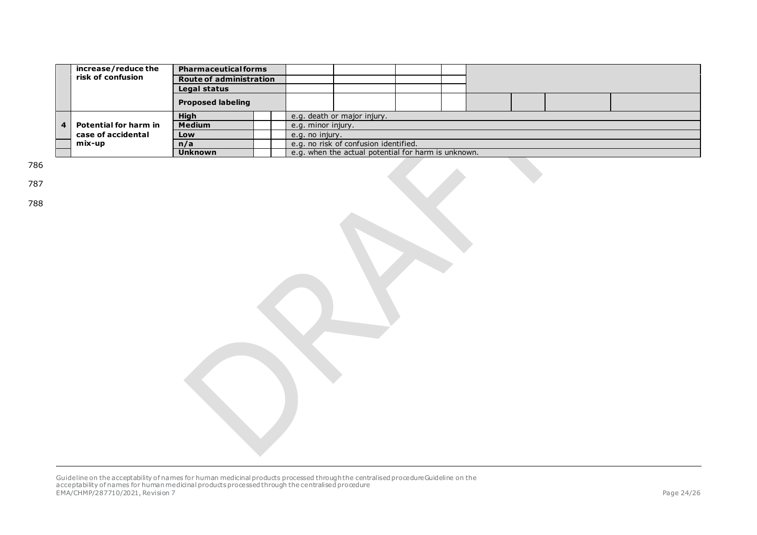|                                                                       | increase/reduce the                                 | <b>Pharmaceutical forms</b> |  |                                       |  |  |  |  |  |  |  |  |
|-----------------------------------------------------------------------|-----------------------------------------------------|-----------------------------|--|---------------------------------------|--|--|--|--|--|--|--|--|
|                                                                       | risk of confusion<br><b>Route of administration</b> |                             |  |                                       |  |  |  |  |  |  |  |  |
|                                                                       |                                                     | Legal status                |  |                                       |  |  |  |  |  |  |  |  |
|                                                                       |                                                     | <b>Proposed labeling</b>    |  |                                       |  |  |  |  |  |  |  |  |
|                                                                       |                                                     | <b>High</b>                 |  | e.g. death or major injury.           |  |  |  |  |  |  |  |  |
| 4                                                                     | Potential for harm in<br>case of accidental         | <b>Medium</b>               |  | e.g. minor injury.                    |  |  |  |  |  |  |  |  |
|                                                                       |                                                     | Low                         |  | e.g. no injury.                       |  |  |  |  |  |  |  |  |
|                                                                       | mix-up                                              | n/a                         |  | e.g. no risk of confusion identified. |  |  |  |  |  |  |  |  |
| e.g. when the actual potential for harm is unknown.<br><b>Unknown</b> |                                                     |                             |  |                                       |  |  |  |  |  |  |  |  |

786

787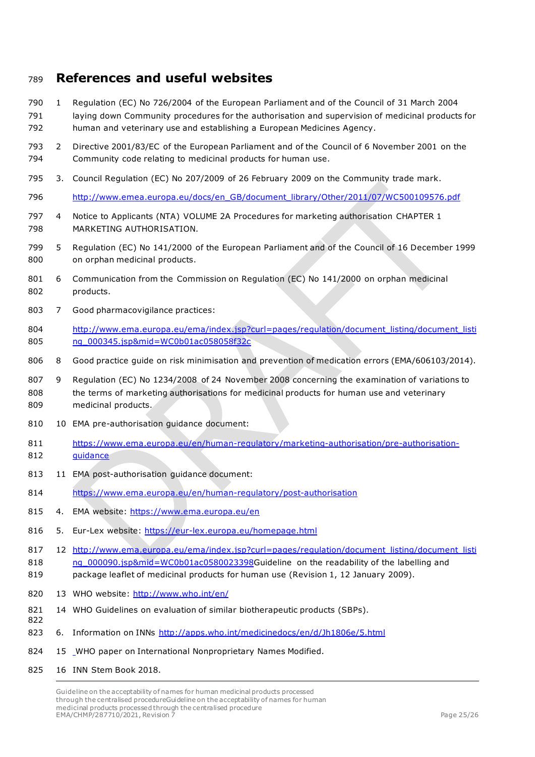## <span id="page-24-0"></span>**References and useful websites**

- 1 Regulation (EC) No 726/2004 of the European Parliament and of the Council of 31 March 2004 791 laying down Community procedures for the authorisation and supervision of medicinal products for human and veterinary use and establishing a European Medicines Agency.
- 2 Directive 2001/83/EC of the European Parliament and of the Council of 6 November 2001 on the Community code relating to medicinal products for human use.
- 3. Council Regulation (EC) No 207/2009 of 26 February 2009 on the Community trade mark.
- [http://www.emea.europa.eu/docs/en\\_GB/document\\_library/Other/2011/07/WC500109576.pdf](http://www.emea.europa.eu/docs/en_GB/document_library/Other/2011/07/WC500109576.pdf)
- 4 Notice to Applicants (NTA) VOLUME 2A Procedures for marketing authorisation CHAPTER 1 MARKETING AUTHORISATION.
- 5 Regulation (EC) No 141/2000 of the European Parliament and of the Council of 16 December 1999 on orphan medicinal products.
- 6 Communication from the Commission on Regulation (EC) No 141/2000 on orphan medicinal products.
- 7 Good pharmacovigilance practices:
- [http://www.ema.europa.eu/ema/index.jsp?curl=pages/regulation/document\\_listing/document\\_listi](http://www.ema.europa.eu/ema/index.jsp?curl=pages/regulation/document_listing/document_listing_000345.jsp&mid=WC0b01ac058058f32c)ng [ng\\_000345.jsp&mid=WC0b01ac058058f32c](http://www.ema.europa.eu/ema/index.jsp?curl=pages/regulation/document_listing/document_listing_000345.jsp&mid=WC0b01ac058058f32c)
- 806 8 Good practice quide on risk minimisation and prevention of medication errors (EMA/606103/2014).
- 9 Regulation (EC) No 1234/2008 of 24 November 2008 concerning the examination of variations to the terms of marketing authorisations for medicinal products for human use and veterinary medicinal products.
- 10 EMA pre-authorisation guidance document:
- [https://www.ema.europa.eu/en/human-regulatory/marketing-authorisation/pre-authorisation-](https://www.ema.europa.eu/en/human-regulatory/marketing-authorisation/pre-authorisation-guidance)[guidance](https://www.ema.europa.eu/en/human-regulatory/marketing-authorisation/pre-authorisation-guidance)
- 11 EMA post-authorisation guidance document:
- <https://www.ema.europa.eu/en/human-regulatory/post-authorisation>
- 4. EMA website:<https://www.ema.europa.eu/en>
- 5. Eur-Lex website:<https://eur-lex.europa.eu/homepage.html>
- 817 12 [http://www.ema.europa.eu/ema/index.jsp?curl=pages/regulation/document\\_listing/document\\_listi](http://www.ema.europa.eu/ema/index.jsp?curl=pages/regulation/document_listing/document_listing_000090.jsp&mid=WC0b01ac0580023398) 818 ng 000090.jsp&mid=WC0b01ac0580023398Guideline on the readability of the labelling and package leaflet of medicinal products for human use (Revision 1, 12 January 2009).
- 13 WHO website:<http://www.who.int/en/>
- 14 WHO Guidelines on evaluation of similar biotherapeutic products (SBPs).
- 823 6. Information on INNs<http://apps.who.int/medicinedocs/en/d/Jh1806e/5.html>
- 15 WHO paper on International Nonproprietary Names Modified.
- 16 INN Stem Book 2018.

Guideline on the acceptability of names for human medicinal products processed through the centralised procedureGuideline on the acceptability of names for human medicinal products processed through the centralised procedure EMA/CHMP/287710/2021, Revision 7 Page 25/26